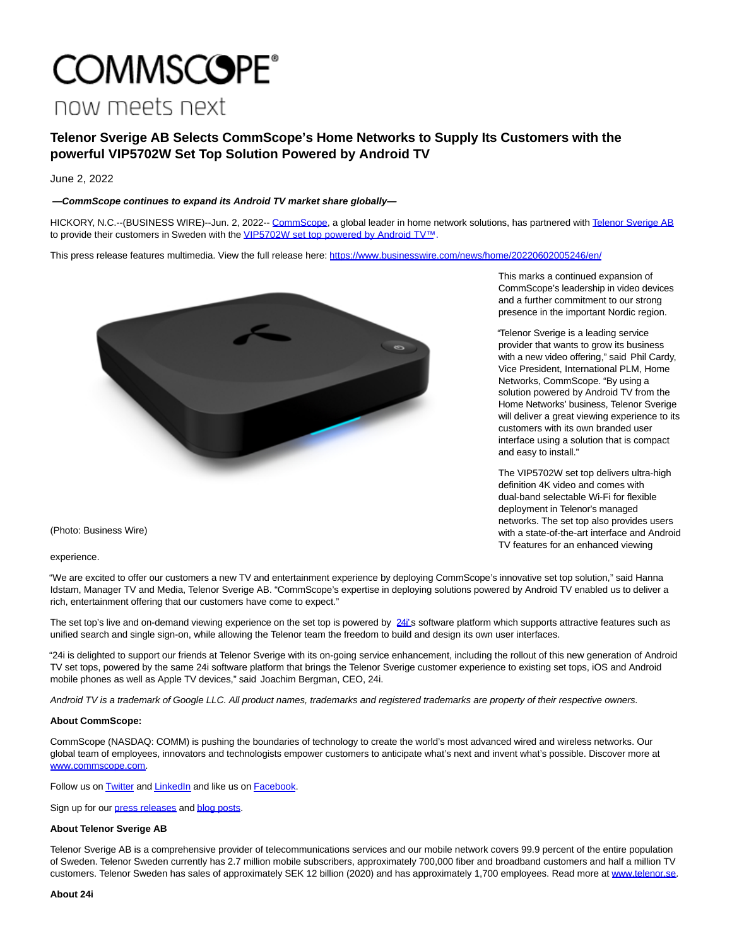# **COMMSCOPE®** now meets next

# **Telenor Sverige AB Selects CommScope's Home Networks to Supply Its Customers with the powerful VIP5702W Set Top Solution Powered by Android TV**

June 2, 2022

## **—CommScope continues to expand its Android TV market share globally—**

HICKORY, N.C.--(BUSINESS WIRE)--Jun. 2, 2022-- [CommScope,](https://cts.businesswire.com/ct/CT?id=smartlink&url=https%3A%2F%2Fwww.commscope.com%2F&esheet=52737234&newsitemid=20220602005246&lan=en-US&anchor=CommScope&index=1&md5=6453eef37ffe7d897b79eafacaf59ad8) a global leader in home network solutions, has partnered with [Telenor Sverige AB](https://cts.businesswire.com/ct/CT?id=smartlink&url=http%3A%2F%2Fwww.telenor.se&esheet=52737234&newsitemid=20220602005246&lan=en-US&anchor=Telenor+Sverige+AB&index=2&md5=05c800d28b8476a28ea834cbd2df8d4f) to provide their customers in Sweden with the [VIP5702W set top powered by Android TV™.](https://cts.businesswire.com/ct/CT?id=smartlink&url=https%3A%2F%2Fwww.androidtv-guide.com%2Fpay-tv-provider%2Ftelenor-mediahubb%2F&esheet=52737234&newsitemid=20220602005246&lan=en-US&anchor=VIP5702W+set+top+powered+by+Android+TV%26%238482%3B.&index=3&md5=2cc0e5aed5e5276f8c459021c63495a5)

This press release features multimedia. View the full release here:<https://www.businesswire.com/news/home/20220602005246/en/>



This marks a continued expansion of CommScope's leadership in video devices and a further commitment to our strong presence in the important Nordic region.

"Telenor Sverige is a leading service provider that wants to grow its business with a new video offering," said Phil Cardy, Vice President, International PLM, Home Networks, CommScope. "By using a solution powered by Android TV from the Home Networks' business, Telenor Sverige will deliver a great viewing experience to its customers with its own branded user interface using a solution that is compact and easy to install."

The VIP5702W set top delivers ultra-high definition 4K video and comes with dual-band selectable Wi-Fi for flexible deployment in Telenor's managed networks. The set top also provides users with a state-of-the-art interface and Android TV features for an enhanced viewing

(Photo: Business Wire)

experience.

"We are excited to offer our customers a new TV and entertainment experience by deploying CommScope's innovative set top solution," said Hanna Idstam, Manager TV and Media, Telenor Sverige AB. "CommScope's expertise in deploying solutions powered by Android TV enabled us to deliver a rich, entertainment offering that our customers have come to expect."

The set top's live and on-demand viewing experience on the set top is powered by [24i'](https://cts.businesswire.com/ct/CT?id=smartlink&url=https%3A%2F%2Fwww.24i.com%2F&esheet=52737234&newsitemid=20220602005246&lan=en-US&anchor=24i%26%238217%3B&index=4&md5=d5f18975d15445c00c326d9e3f016621)s software platform which supports attractive features such as unified search and single sign-on, while allowing the Telenor team the freedom to build and design its own user interfaces.

"24i is delighted to support our friends at Telenor Sverige with its on-going service enhancement, including the rollout of this new generation of Android TV set tops, powered by the same 24i software platform that brings the Telenor Sverige customer experience to existing set tops, iOS and Android mobile phones as well as Apple TV devices," said Joachim Bergman, CEO, 24i.

Android TV is a trademark of Google LLC. All product names, trademarks and registered trademarks are property of their respective owners.

### **About CommScope:**

CommScope (NASDAQ: COMM) is pushing the boundaries of technology to create the world's most advanced wired and wireless networks. Our global team of employees, innovators and technologists empower customers to anticipate what's next and invent what's possible. Discover more at [www.commscope.com.](https://cts.businesswire.com/ct/CT?id=smartlink&url=http%3A%2F%2Fwww.commscope.com&esheet=52737234&newsitemid=20220602005246&lan=en-US&anchor=www.commscope.com&index=5&md5=31f2ea80090815fc9bd468facf11ad6b)

Follow us on **Twitter** and **LinkedIn** and like us on **Facebook**.

Sign up for our [press releases a](https://cts.businesswire.com/ct/CT?id=smartlink&url=https%3A%2F%2Fwww.commscope.com%2Fsubscribe-press-releases%2F%3Futm_medium%3Dsocial%26utm_source%3Dpress%2520release%26utm_campaign%3Dglobal-oc-pr-subscription-link&esheet=52737234&newsitemid=20220602005246&lan=en-US&anchor=press+releases&index=9&md5=499c702d58fdfc03c81308c54e4b1f58)n[d blog posts.](https://cts.businesswire.com/ct/CT?id=smartlink&url=https%3A%2F%2Fwww.commscope.com%2Fsubscribe-blog%2F%3Futm_medium%3Dsocial%26utm_source%3Dpress%2520release%26utm_campaign%3Dglobal-oc-blog-subscription-link&esheet=52737234&newsitemid=20220602005246&lan=en-US&anchor=blog+posts&index=10&md5=387782dc3d9950a57526b86af4512ee5)

### **About Telenor Sverige AB**

Telenor Sverige AB is a comprehensive provider of telecommunications services and our mobile network covers 99.9 percent of the entire population of Sweden. Telenor Sweden currently has 2.7 million mobile subscribers, approximately 700,000 fiber and broadband customers and half a million TV customers. Telenor Sweden has sales of approximately SEK 12 billion (2020) and has approximately 1,700 employees. Read more at [www.telenor.se.](https://cts.businesswire.com/ct/CT?id=smartlink&url=http%3A%2F%2Fwww.telenor.se&esheet=52737234&newsitemid=20220602005246&lan=en-US&anchor=www.telenor.se&index=11&md5=55c91306b4595fd3ab27465c9151d49f)